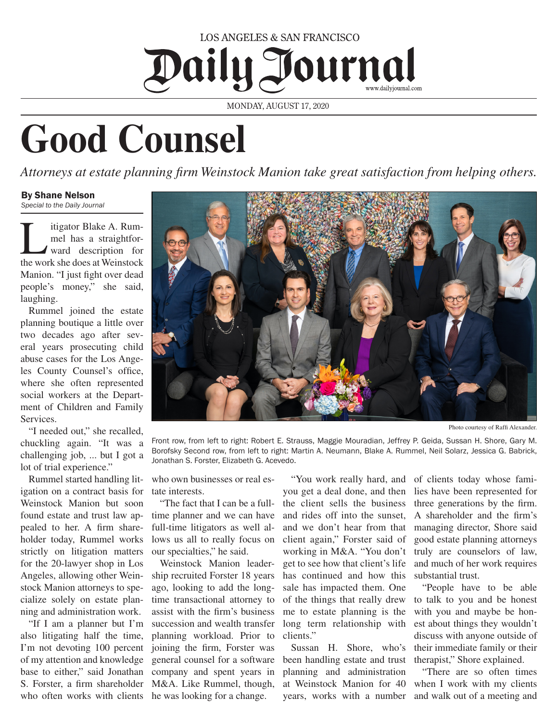## LOS ANGELES & SAN FRANCISCO Daily Journal

MONDAY, AUGUST 17, 2020

## **Good Counsel**

*Attorneys at estate planning firm Weinstock Manion take great satisfaction from helping others.*

## By Shane Nelson *Special to the Daily Journal*

Itigator Blake A. Rum-<br>
mel has a straightfor-<br>
ward description for mel has a straightforthe work she does at Weinstock Manion. "I just fight over dead people's money," she said, laughing.

Rummel joined the estate planning boutique a little over two decades ago after several years prosecuting child abuse cases for the Los Angeles County Counsel's office, where she often represented social workers at the Department of Children and Family Services.

"I needed out," she recalled, chuckling again. "It was a challenging job, ... but I got a lot of trial experience."

Rummel started handling litigation on a contract basis for Weinstock Manion but soon found estate and trust law appealed to her. A firm shareholder today, Rummel works strictly on litigation matters for the 20-lawyer shop in Los Angeles, allowing other Weinstock Manion attorneys to specialize solely on estate planning and administration work.

"If I am a planner but I'm also litigating half the time, I'm not devoting 100 percent of my attention and knowledge base to either," said Jonathan S. Forster, a firm shareholder M&A. Like Rummel, though, who often works with clients he was looking for a change.



Photo courtesy of Raffi Alexander.

Front row, from left to right: Robert E. Strauss, Maggie Mouradian, Jeffrey P. Geida, Sussan H. Shore, Gary M. Borofsky Second row, from left to right: Martin A. Neumann, Blake A. Rummel, Neil Solarz, Jessica G. Babrick, Jonathan S. Forster, Elizabeth G. Acevedo.

who own businesses or real estate interests.

"The fact that I can be a fulltime planner and we can have full-time litigators as well allows us all to really focus on our specialties," he said.

Weinstock Manion leadership recruited Forster 18 years ago, looking to add the longtime transactional attorney to assist with the firm's business succession and wealth transfer planning workload. Prior to joining the firm, Forster was general counsel for a software company and spent years in

"You work really hard, and you get a deal done, and then the client sells the business and rides off into the sunset, and we don't hear from that client again," Forster said of working in M&A. "You don't get to see how that client's life has continued and how this sale has impacted them. One of the things that really drew me to estate planning is the long term relationship with clients."

Sussan H. Shore, who's been handling estate and trust planning and administration at Weinstock Manion for 40 years, works with a number and walk out of a meeting and

of clients today whose families have been represented for three generations by the firm. A shareholder and the firm's managing director, Shore said good estate planning attorneys truly are counselors of law, and much of her work requires substantial trust.

"People have to be able to talk to you and be honest with you and maybe be honest about things they wouldn't discuss with anyone outside of their immediate family or their therapist," Shore explained.

"There are so often times when I work with my clients